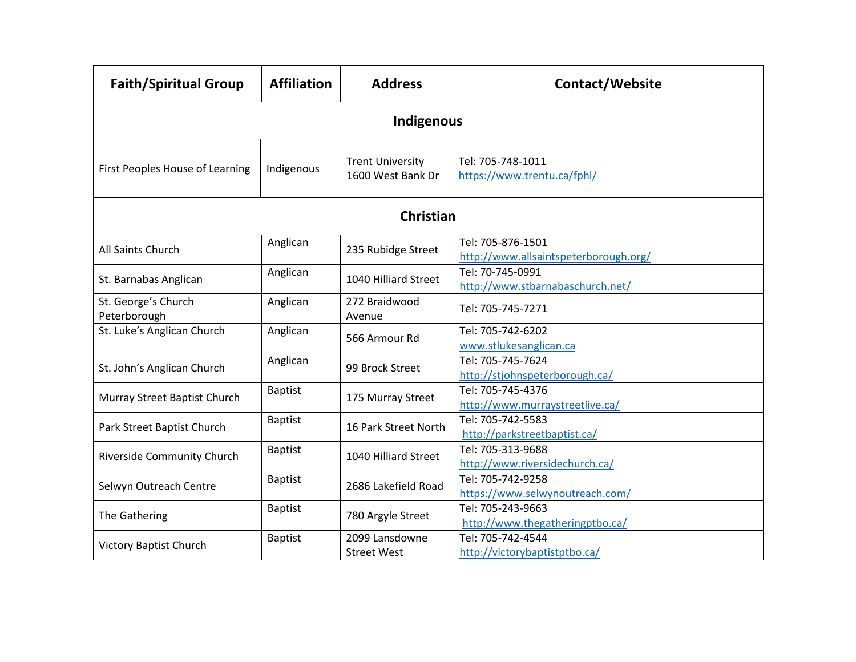| <b>Faith/Spiritual Group</b>        | <b>Affiliation</b> | <b>Address</b>                               | Contact/Website                                            |  |  |
|-------------------------------------|--------------------|----------------------------------------------|------------------------------------------------------------|--|--|
| <b>Indigenous</b>                   |                    |                                              |                                                            |  |  |
| First Peoples House of Learning     | Indigenous         | <b>Trent University</b><br>1600 West Bank Dr | Tel: 705-748-1011<br>https://www.trentu.ca/fphl/           |  |  |
| <b>Christian</b>                    |                    |                                              |                                                            |  |  |
| All Saints Church                   | Anglican           | 235 Rubidge Street                           | Tel: 705-876-1501<br>http://www.allsaintspeterborough.org/ |  |  |
| St. Barnabas Anglican               | Anglican           | 1040 Hilliard Street                         | Tel: 70-745-0991<br>http://www.stbarnabaschurch.net/       |  |  |
| St. George's Church<br>Peterborough | Anglican           | 272 Braidwood<br>Avenue                      | Tel: 705-745-7271                                          |  |  |
| St. Luke's Anglican Church          | Anglican           | 566 Armour Rd                                | Tel: 705-742-6202<br>www.stlukesanglican.ca                |  |  |
| St. John's Anglican Church          | Anglican           | 99 Brock Street                              | Tel: 705-745-7624<br>http://stjohnspeterborough.ca/        |  |  |
| Murray Street Baptist Church        | <b>Baptist</b>     | 175 Murray Street                            | Tel: 705-745-4376<br>http://www.murraystreetlive.ca/       |  |  |
| Park Street Baptist Church          | <b>Baptist</b>     | 16 Park Street North                         | Tel: 705-742-5583<br>http://parkstreetbaptist.ca/          |  |  |
| <b>Riverside Community Church</b>   | <b>Baptist</b>     | 1040 Hilliard Street                         | Tel: 705-313-9688<br>http://www.riversidechurch.ca/        |  |  |
| Selwyn Outreach Centre              | <b>Baptist</b>     | 2686 Lakefield Road                          | Tel: 705-742-9258<br>https://www.selwynoutreach.com/       |  |  |
| The Gathering                       | <b>Baptist</b>     | 780 Argyle Street                            | Tel: 705-243-9663<br>http://www.thegatheringptbo.ca/       |  |  |
| <b>Victory Baptist Church</b>       | <b>Baptist</b>     | 2099 Lansdowne<br><b>Street West</b>         | Tel: 705-742-4544<br>http://victorybaptistptbo.ca/         |  |  |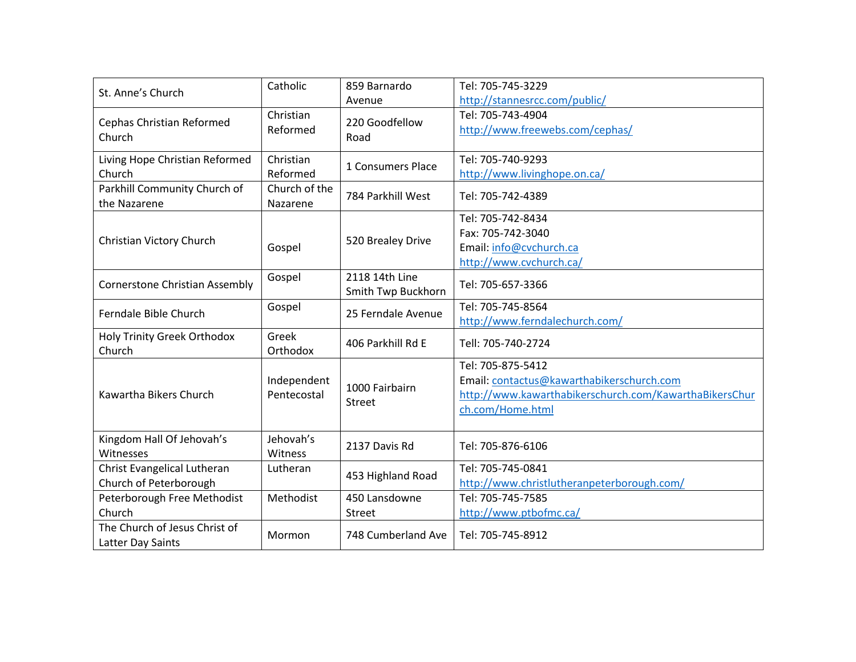| St. Anne's Church                                     | Catholic                   | 859 Barnardo<br>Avenue               | Tel: 705-745-3229<br>http://stannesrcc.com/public/                                                                                           |
|-------------------------------------------------------|----------------------------|--------------------------------------|----------------------------------------------------------------------------------------------------------------------------------------------|
| Cephas Christian Reformed<br>Church                   | Christian<br>Reformed      | 220 Goodfellow<br>Road               | Tel: 705-743-4904<br>http://www.freewebs.com/cephas/                                                                                         |
| Living Hope Christian Reformed<br>Church              | Christian<br>Reformed      | 1 Consumers Place                    | Tel: 705-740-9293<br>http://www.livinghope.on.ca/                                                                                            |
| Parkhill Community Church of<br>the Nazarene          | Church of the<br>Nazarene  | 784 Parkhill West                    | Tel: 705-742-4389                                                                                                                            |
| Christian Victory Church                              | Gospel                     | 520 Brealey Drive                    | Tel: 705-742-8434<br>Fax: 705-742-3040<br>Email: info@cvchurch.ca<br>http://www.cvchurch.ca/                                                 |
| <b>Cornerstone Christian Assembly</b>                 | Gospel                     | 2118 14th Line<br>Smith Twp Buckhorn | Tel: 705-657-3366                                                                                                                            |
| Ferndale Bible Church                                 | Gospel                     | 25 Ferndale Avenue                   | Tel: 705-745-8564<br>http://www.ferndalechurch.com/                                                                                          |
| <b>Holy Trinity Greek Orthodox</b><br>Church          | Greek<br>Orthodox          | 406 Parkhill Rd E                    | Tell: 705-740-2724                                                                                                                           |
| <b>Kawartha Bikers Church</b>                         | Independent<br>Pentecostal | 1000 Fairbairn<br><b>Street</b>      | Tel: 705-875-5412<br>Email: contactus@kawarthabikerschurch.com<br>http://www.kawarthabikerschurch.com/KawarthaBikersChur<br>ch.com/Home.html |
| Kingdom Hall Of Jehovah's<br>Witnesses                | Jehovah's<br>Witness       | 2137 Davis Rd                        | Tel: 705-876-6106                                                                                                                            |
| Christ Evangelical Lutheran<br>Church of Peterborough | Lutheran                   | 453 Highland Road                    | Tel: 705-745-0841<br>http://www.christlutheranpeterborough.com/                                                                              |
| Peterborough Free Methodist<br>Church                 | Methodist                  | 450 Lansdowne<br>Street              | Tel: 705-745-7585<br>http://www.ptbofmc.ca/                                                                                                  |
| The Church of Jesus Christ of<br>Latter Day Saints    | Mormon                     | 748 Cumberland Ave                   | Tel: 705-745-8912                                                                                                                            |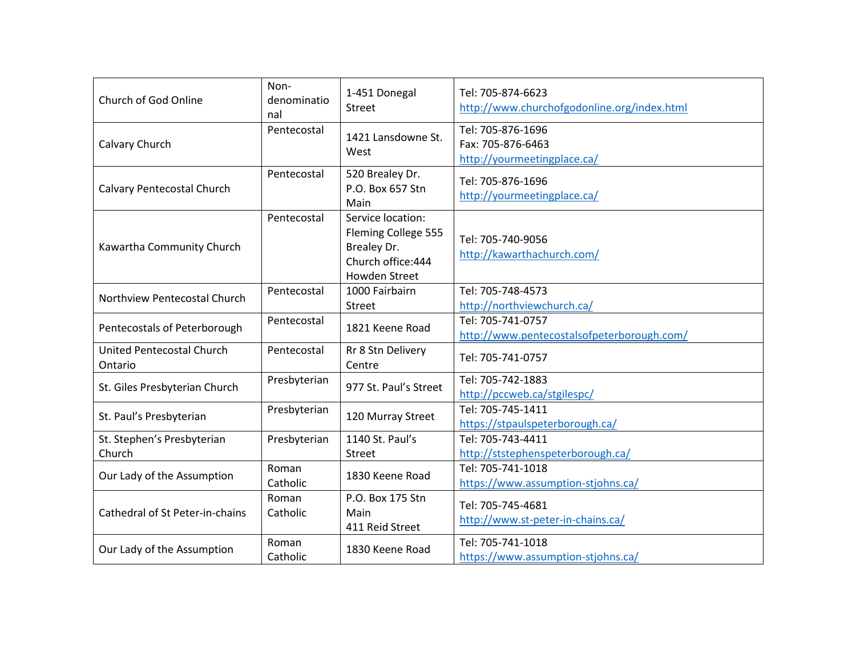| Church of God Online                 | Non-<br>denominatio<br>nal | 1-451 Donegal<br><b>Street</b>                                                                        | Tel: 705-874-6623<br>http://www.churchofgodonline.org/index.html      |
|--------------------------------------|----------------------------|-------------------------------------------------------------------------------------------------------|-----------------------------------------------------------------------|
| Calvary Church                       | Pentecostal                | 1421 Lansdowne St.<br>West                                                                            | Tel: 705-876-1696<br>Fax: 705-876-6463<br>http://yourmeetingplace.ca/ |
| Calvary Pentecostal Church           | Pentecostal                | 520 Brealey Dr.<br>P.O. Box 657 Stn<br>Main                                                           | Tel: 705-876-1696<br>http://yourmeetingplace.ca/                      |
| Kawartha Community Church            | Pentecostal                | Service location:<br>Fleming College 555<br>Brealey Dr.<br>Church office: 444<br><b>Howden Street</b> | Tel: 705-740-9056<br>http://kawarthachurch.com/                       |
| Northview Pentecostal Church         | Pentecostal                | 1000 Fairbairn<br><b>Street</b>                                                                       | Tel: 705-748-4573<br>http://northviewchurch.ca/                       |
| Pentecostals of Peterborough         | Pentecostal                | 1821 Keene Road                                                                                       | Tel: 705-741-0757<br>http://www.pentecostalsofpeterborough.com/       |
| United Pentecostal Church<br>Ontario | Pentecostal                | Rr 8 Stn Delivery<br>Centre                                                                           | Tel: 705-741-0757                                                     |
| St. Giles Presbyterian Church        | Presbyterian               | 977 St. Paul's Street                                                                                 | Tel: 705-742-1883<br>http://pccweb.ca/stgilespc/                      |
| St. Paul's Presbyterian              | Presbyterian               | 120 Murray Street                                                                                     | Tel: 705-745-1411<br>https://stpaulspeterborough.ca/                  |
| St. Stephen's Presbyterian<br>Church | Presbyterian               | 1140 St. Paul's<br><b>Street</b>                                                                      | Tel: 705-743-4411<br>http://ststephenspeterborough.ca/                |
| Our Lady of the Assumption           | Roman<br>Catholic          | 1830 Keene Road                                                                                       | Tel: 705-741-1018<br>https://www.assumption-stjohns.ca/               |
| Cathedral of St Peter-in-chains      | Roman<br>Catholic          | P.O. Box 175 Stn<br>Main<br>411 Reid Street                                                           | Tel: 705-745-4681<br>http://www.st-peter-in-chains.ca/                |
| Our Lady of the Assumption           | Roman<br>Catholic          | 1830 Keene Road                                                                                       | Tel: 705-741-1018<br>https://www.assumption-stjohns.ca/               |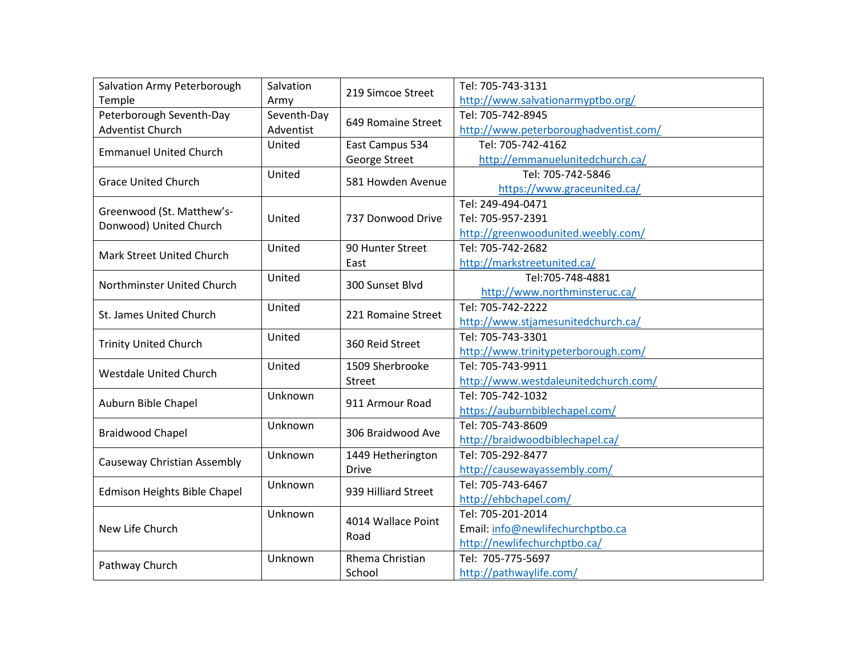| Salvation Army Peterborough   | Salvation   | 219 Simcoe Street   | Tel: 705-743-3131                     |
|-------------------------------|-------------|---------------------|---------------------------------------|
| Temple                        | Army        |                     | http://www.salvationarmyptbo.org/     |
| Peterborough Seventh-Day      | Seventh-Day | 649 Romaine Street  | Tel: 705-742-8945                     |
| Adventist Church              | Adventist   |                     | http://www.peterboroughadventist.com/ |
| <b>Emmanuel United Church</b> | United      | East Campus 534     | Tel: 705-742-4162                     |
|                               |             | George Street       | http://emmanuelunitedchurch.ca/       |
| <b>Grace United Church</b>    | United      | 581 Howden Avenue   | Tel: 705-742-5846                     |
|                               |             |                     | https://www.graceunited.ca/           |
| Greenwood (St. Matthew's-     |             | 737 Donwood Drive   | Tel: 249-494-0471                     |
| Donwood) United Church        | United      |                     | Tel: 705-957-2391                     |
|                               |             |                     | http://greenwoodunited.weebly.com/    |
| Mark Street United Church     | United      | 90 Hunter Street    | Tel: 705-742-2682                     |
|                               |             | East                | http://markstreetunited.ca/           |
| Northminster United Church    | United      | 300 Sunset Blvd     | Tel:705-748-4881                      |
|                               |             |                     | http://www.northminsteruc.ca/         |
| St. James United Church       | United      | 221 Romaine Street  | Tel: 705-742-2222                     |
|                               |             |                     | http://www.stjamesunitedchurch.ca/    |
| <b>Trinity United Church</b>  | United      | 360 Reid Street     | Tel: 705-743-3301                     |
|                               |             |                     | http://www.trinitypeterborough.com/   |
| <b>Westdale United Church</b> | United      | 1509 Sherbrooke     | Tel: 705-743-9911                     |
|                               |             | Street              | http://www.westdaleunitedchurch.com/  |
| Auburn Bible Chapel           | Unknown     | 911 Armour Road     | Tel: 705-742-1032                     |
|                               |             |                     | https://auburnbiblechapel.com/        |
| <b>Braidwood Chapel</b>       | Unknown     | 306 Braidwood Ave   | Tel: 705-743-8609                     |
|                               |             |                     | http://braidwoodbiblechapel.ca/       |
| Causeway Christian Assembly   | Unknown     | 1449 Hetherington   | Tel: 705-292-8477                     |
|                               |             | <b>Drive</b>        | http://causewayassembly.com/          |
| Edmison Heights Bible Chapel  | Unknown     | 939 Hilliard Street | Tel: 705-743-6467                     |
|                               |             |                     | http://ehbchapel.com/                 |
| New Life Church               | Unknown     | 4014 Wallace Point  | Tel: 705-201-2014                     |
|                               |             | Road                | Email: info@newlifechurchptbo.ca      |
|                               |             |                     | http://newlifechurchptbo.ca/          |
| Pathway Church                | Unknown     | Rhema Christian     | Tel: 705-775-5697                     |
|                               |             | School              | http://pathwaylife.com/               |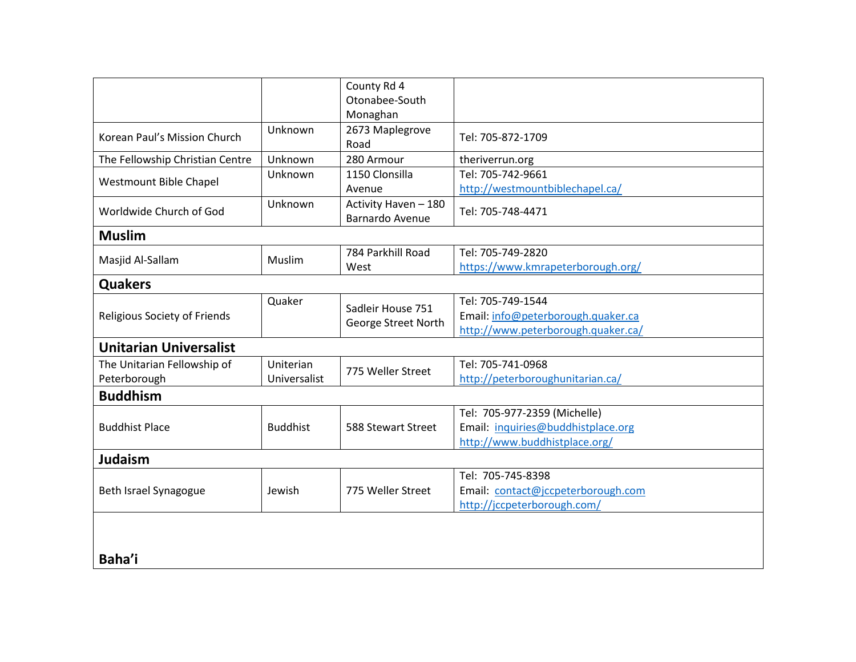|                                 |                 | County Rd 4            |                                    |  |
|---------------------------------|-----------------|------------------------|------------------------------------|--|
|                                 |                 | Otonabee-South         |                                    |  |
|                                 |                 | Monaghan               |                                    |  |
| Korean Paul's Mission Church    | Unknown         | 2673 Maplegrove        |                                    |  |
|                                 |                 | Road                   | Tel: 705-872-1709                  |  |
| The Fellowship Christian Centre | Unknown         | 280 Armour             | theriverrun.org                    |  |
| Westmount Bible Chapel          | Unknown         | 1150 Clonsilla         | Tel: 705-742-9661                  |  |
|                                 |                 | Avenue                 | http://westmountbiblechapel.ca/    |  |
| Worldwide Church of God         | Unknown         | Activity Haven - 180   | Tel: 705-748-4471                  |  |
|                                 |                 | <b>Barnardo Avenue</b> |                                    |  |
| <b>Muslim</b>                   |                 |                        |                                    |  |
|                                 | Muslim          | 784 Parkhill Road      | Tel: 705-749-2820                  |  |
| Masjid Al-Sallam                |                 | West                   | https://www.kmrapeterborough.org/  |  |
| <b>Quakers</b>                  |                 |                        |                                    |  |
|                                 | Quaker          | Sadleir House 751      | Tel: 705-749-1544                  |  |
| Religious Society of Friends    |                 |                        | Email: info@peterborough.quaker.ca |  |
|                                 |                 | George Street North    | http://www.peterborough.quaker.ca/ |  |
| <b>Unitarian Universalist</b>   |                 |                        |                                    |  |
| The Unitarian Fellowship of     | Uniterian       | 775 Weller Street      | Tel: 705-741-0968                  |  |
| Peterborough                    | Universalist    |                        | http://peterboroughunitarian.ca/   |  |
| <b>Buddhism</b>                 |                 |                        |                                    |  |
|                                 | <b>Buddhist</b> | 588 Stewart Street     | Tel: 705-977-2359 (Michelle)       |  |
| <b>Buddhist Place</b>           |                 |                        | Email: inquiries@buddhistplace.org |  |
|                                 |                 |                        | http://www.buddhistplace.org/      |  |
| <b>Judaism</b>                  |                 |                        |                                    |  |
| Beth Israel Synagogue           | Jewish          | 775 Weller Street      | Tel: 705-745-8398                  |  |
|                                 |                 |                        | Email: contact@jccpeterborough.com |  |
|                                 |                 |                        | http://jccpeterborough.com/        |  |
|                                 |                 |                        |                                    |  |
|                                 |                 |                        |                                    |  |
| Baha'i                          |                 |                        |                                    |  |
|                                 |                 |                        |                                    |  |